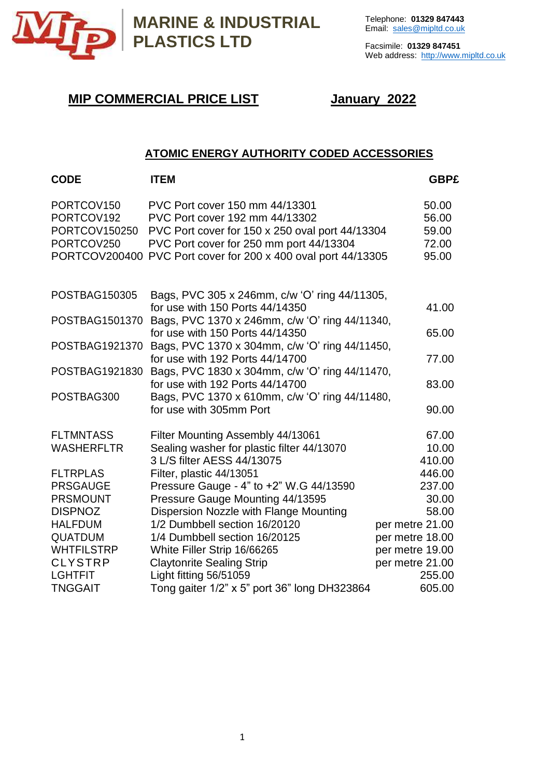

Facsimile: **01329 847451** Web address: [http://www.mipltd.co.uk](http://www.mipltd.co.uk/)

# **MIP COMMERCIAL PRICE LIST January 2022**

# **ATOMIC ENERGY AUTHORITY CODED ACCESSORIES**

| <b>CODE</b>       | <b>ITEM</b>                                                                       | <b>GBP£</b>     |
|-------------------|-----------------------------------------------------------------------------------|-----------------|
| PORTCOV150        | PVC Port cover 150 mm 44/13301                                                    | 50.00           |
| PORTCOV192        | PVC Port cover 192 mm 44/13302                                                    | 56.00           |
| PORTCOV150250     | PVC Port cover for 150 x 250 oval port 44/13304                                   | 59.00           |
| PORTCOV250        | PVC Port cover for 250 mm port 44/13304                                           | 72.00           |
| PORTCOV200400     | PVC Port cover for 200 x 400 oval port 44/13305                                   | 95.00           |
| POSTBAG150305     | Bags, PVC 305 x 246mm, c/w 'O' ring 44/11305,                                     |                 |
|                   | for use with 150 Ports 44/14350                                                   | 41.00           |
| POSTBAG1501370    | Bags, PVC 1370 x 246mm, c/w 'O' ring 44/11340,                                    |                 |
|                   | for use with 150 Ports 44/14350                                                   | 65.00           |
| POSTBAG1921370    | Bags, PVC 1370 x 304mm, c/w 'O' ring 44/11450,                                    |                 |
|                   | for use with 192 Ports 44/14700                                                   | 77.00           |
| POSTBAG1921830    | Bags, PVC 1830 x 304mm, c/w 'O' ring 44/11470,<br>for use with 192 Ports 44/14700 | 83.00           |
| POSTBAG300        | Bags, PVC 1370 x 610mm, c/w 'O' ring 44/11480,                                    |                 |
|                   | for use with 305mm Port                                                           | 90.00           |
|                   |                                                                                   |                 |
| <b>FLTMNTASS</b>  | Filter Mounting Assembly 44/13061                                                 | 67.00           |
| <b>WASHERFLTR</b> | Sealing washer for plastic filter 44/13070                                        | 10.00           |
|                   | 3 L/S filter AESS 44/13075                                                        | 410.00          |
| <b>FLTRPLAS</b>   | Filter, plastic 44/13051                                                          | 446.00          |
| <b>PRSGAUGE</b>   | Pressure Gauge - 4" to +2" W.G 44/13590                                           | 237.00          |
| <b>PRSMOUNT</b>   | Pressure Gauge Mounting 44/13595                                                  | 30.00           |
| <b>DISPNOZ</b>    | Dispersion Nozzle with Flange Mounting                                            | 58.00           |
| <b>HALFDUM</b>    | 1/2 Dumbbell section 16/20120                                                     | per metre 21.00 |
| <b>QUATDUM</b>    | 1/4 Dumbbell section 16/20125                                                     | per metre 18.00 |
| <b>WHTFILSTRP</b> | White Filler Strip 16/66265                                                       | per metre 19.00 |
| <b>CLYSTRP</b>    | <b>Claytonrite Sealing Strip</b>                                                  | per metre 21.00 |
| <b>LGHTFIT</b>    | Light fitting 56/51059                                                            | 255.00          |
| <b>TNGGAIT</b>    | Tong gaiter 1/2" x 5" port 36" long DH323864                                      | 605.00          |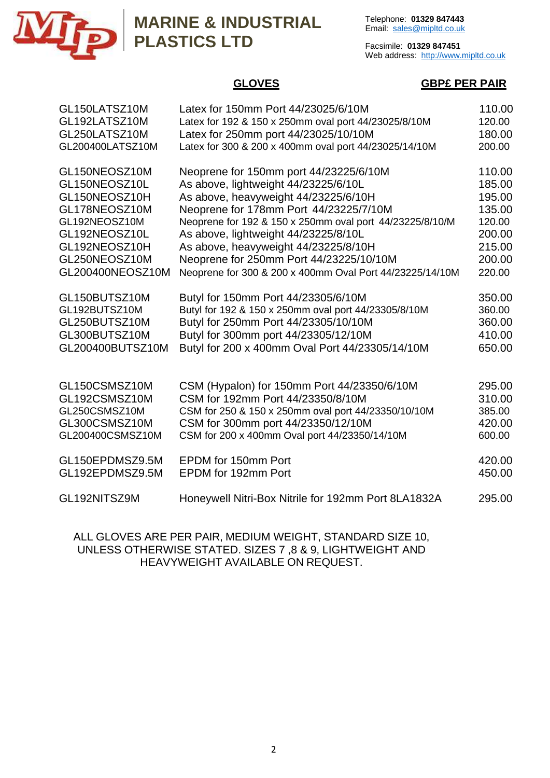

# **MARINE & INDUSTRIAL PLASTICS LTD**

Telephone: **01329 847443** Email: [sales@mipltd.co.uk](mailto:sales@mipltd.co.uk)

Facsimile: **01329 847451** Web address: [http://www.mipltd.co.uk](http://www.mipltd.co.uk/)

#### **GLOVES GBP£ PER PAIR**

| GL150LATSZ10M    | Latex for 150mm Port 44/23025/6/10M                      | 110.00 |
|------------------|----------------------------------------------------------|--------|
| GL192LATSZ10M    | Latex for 192 & 150 x 250mm oval port 44/23025/8/10M     | 120.00 |
| GL250LATSZ10M    | Latex for 250mm port 44/23025/10/10M                     | 180.00 |
| GL200400LATSZ10M | Latex for 300 & 200 x 400mm oval port 44/23025/14/10M    | 200.00 |
| GL150NEOSZ10M    | Neoprene for 150mm port 44/23225/6/10M                   | 110.00 |
| GL150NEOSZ10L    | As above, lightweight 44/23225/6/10L                     | 185.00 |
| GL150NEOSZ10H    | As above, heavyweight 44/23225/6/10H                     | 195.00 |
| GL178NEOSZ10M    | Neoprene for 178mm Port 44/23225/7/10M                   | 135.00 |
| GL192NEOSZ10M    | Neoprene for 192 & 150 x 250mm oval port 44/23225/8/10/M | 120.00 |
| GL192NEOSZ10L    | As above, lightweight 44/23225/8/10L                     | 200.00 |
| GL192NEOSZ10H    | As above, heavyweight 44/23225/8/10H                     | 215.00 |
| GL250NEOSZ10M    | Neoprene for 250mm Port 44/23225/10/10M                  | 200.00 |
| GL200400NEOSZ10M | Neoprene for 300 & 200 x 400mm Oval Port 44/23225/14/10M | 220.00 |
| GL150BUTSZ10M    | Butyl for 150mm Port 44/23305/6/10M                      | 350.00 |
| GL192BUTSZ10M    | Butyl for 192 & 150 x 250mm oval port 44/23305/8/10M     | 360.00 |
| GL250BUTSZ10M    | Butyl for 250mm Port 44/23305/10/10M                     | 360.00 |
| GL300BUTSZ10M    | Butyl for 300mm port 44/23305/12/10M                     | 410.00 |
| GL200400BUTSZ10M | Butyl for 200 x 400mm Oval Port 44/23305/14/10M          | 650.00 |
| GL150CSMSZ10M    | CSM (Hypalon) for 150mm Port 44/23350/6/10M              | 295.00 |
| GL192CSMSZ10M    | CSM for 192mm Port 44/23350/8/10M                        | 310.00 |
| GL250CSMSZ10M    | CSM for 250 & 150 x 250mm oval port 44/23350/10/10M      | 385.00 |
| GL300CSMSZ10M    | CSM for 300mm port 44/23350/12/10M                       | 420.00 |
| GL200400CSMSZ10M | CSM for 200 x 400mm Oval port 44/23350/14/10M            | 600.00 |
| GL150EPDMSZ9.5M  | EPDM for 150mm Port                                      | 420.00 |
| GL192EPDMSZ9.5M  | EPDM for 192mm Port                                      | 450.00 |
| GL192NITSZ9M     | Honeywell Nitri-Box Nitrile for 192mm Port 8LA1832A      | 295.00 |

ALL GLOVES ARE PER PAIR, MEDIUM WEIGHT, STANDARD SIZE 10, UNLESS OTHERWISE STATED. SIZES 7 ,8 & 9, LIGHTWEIGHT AND HEAVYWEIGHT AVAILABLE ON REQUEST.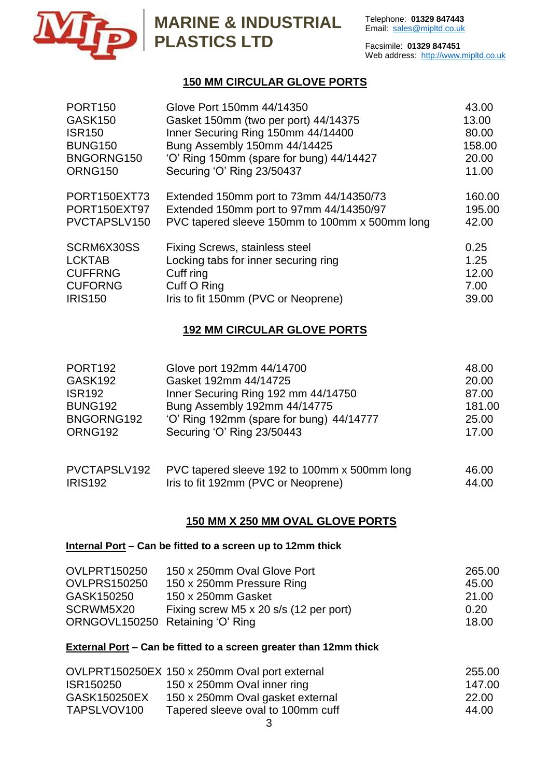

# **MARINE & INDUSTRIAL PLASTICS LTD** Facsimile: 01329

Facsimile: **01329 847451** Web address: [http://www.mipltd.co.uk](http://www.mipltd.co.uk/)

## **150 MM CIRCULAR GLOVE PORTS**

| <b>PORT150</b>                   | Glove Port 150mm 44/14350                                                          | 43.00            |
|----------------------------------|------------------------------------------------------------------------------------|------------------|
| <b>GASK150</b>                   | Gasket 150mm (two per port) 44/14375                                               | 13.00            |
| <b>ISR150</b>                    | Inner Securing Ring 150mm 44/14400                                                 | 80.00            |
| <b>BUNG150</b>                   | Bung Assembly 150mm 44/14425                                                       | 158.00           |
| BNGORNG150                       | 'O' Ring 150mm (spare for bung) 44/14427                                           | 20.00            |
| <b>ORNG150</b>                   | Securing 'O' Ring 23/50437                                                         | 11.00            |
| PORT150EXT73<br>PORT150EXT97     | Extended 150mm port to 73mm 44/14350/73<br>Extended 150mm port to 97mm 44/14350/97 | 160.00<br>195.00 |
| PVCTAPSLV150                     | PVC tapered sleeve 150mm to 100mm x 500mm long                                     | 42.00            |
| SCRM6X30SS<br><b>LCKTAB</b>      | Fixing Screws, stainless steel<br>Locking tabs for inner securing ring             | 0.25<br>1.25     |
| <b>CUFFRNG</b><br><b>CUFORNG</b> | Cuff ring<br>Cuff O Ring                                                           | 12.00<br>7.00    |
| <b>IRIS150</b>                   | Iris to fit 150mm (PVC or Neoprene)                                                | 39.00            |

## **192 MM CIRCULAR GLOVE PORTS**

| PORT <sub>192</sub> | Glove port 192mm 44/14700                    | 48.00  |
|---------------------|----------------------------------------------|--------|
| GASK192             | Gasket 192mm 44/14725                        | 20.00  |
| <b>ISR192</b>       | Inner Securing Ring 192 mm 44/14750          | 87.00  |
| <b>BUNG192</b>      | Bung Assembly 192mm 44/14775                 | 181.00 |
| BNGORNG192          | 'O' Ring 192mm (spare for bung) 44/14777     | 25.00  |
| ORNG192             | Securing 'O' Ring 23/50443                   | 17.00  |
| PVCTAPSLV192        | PVC tapered sleeve 192 to 100mm x 500mm long | 46.00  |
| <b>IRIS192</b>      | Iris to fit 192mm (PVC or Neoprene)          | 44.00  |

#### **150 MM X 250 MM OVAL GLOVE PORTS**

#### **Internal Port – Can be fitted to a screen up to 12mm thick**

| <b>OVLPRT150250</b>              | 150 x 250mm Oval Glove Port            | 265.00 |  |
|----------------------------------|----------------------------------------|--------|--|
| <b>OVLPRS150250</b>              | 150 x 250mm Pressure Ring              | 45.00  |  |
| GASK150250                       | 150 x 250mm Gasket                     | 21.00  |  |
| SCRWM5X20                        | Fixing screw M5 x 20 s/s (12 per port) | 0.20   |  |
| ORNGOVL150250 Retaining 'O' Ring |                                        | 18.00  |  |

#### **External Port – Can be fitted to a screen greater than 12mm thick**

|              | OVLPRT150250EX 150 x 250mm Oval port external | 255.00 |
|--------------|-----------------------------------------------|--------|
| ISR150250    | 150 x 250mm Oval inner ring                   | 147.00 |
| GASK150250EX | 150 x 250mm Oval gasket external              | 22.00  |
| TAPSLVOV100  | Tapered sleeve oval to 100mm cuff             | 44.00  |
|              |                                               |        |